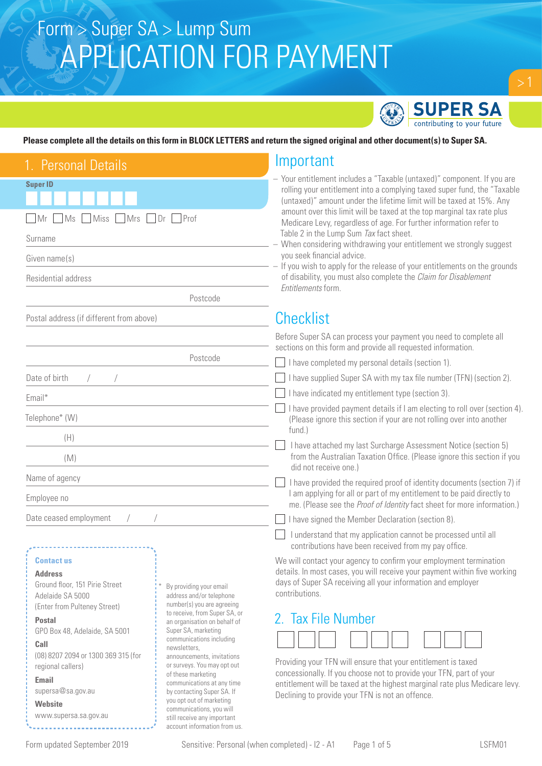

## **Please complete all the details on this form in BLOCK LETTERS and return the signed original and other document(s) to Super SA.**

| . Personal Details                                                                                                                                                                                                                                                                                                                                                                                          | Important                                                                                                                                                                                                                                                                                                                                                                                                                                                                                                                                                                                                                                                                                          |
|-------------------------------------------------------------------------------------------------------------------------------------------------------------------------------------------------------------------------------------------------------------------------------------------------------------------------------------------------------------------------------------------------------------|----------------------------------------------------------------------------------------------------------------------------------------------------------------------------------------------------------------------------------------------------------------------------------------------------------------------------------------------------------------------------------------------------------------------------------------------------------------------------------------------------------------------------------------------------------------------------------------------------------------------------------------------------------------------------------------------------|
| <b>Super ID</b><br>Miss Mrs Dr Prof<br>Mr<br>MS<br>Surname<br>Given name(s)<br>Residential address<br>Postcode                                                                                                                                                                                                                                                                                              | - Your entitlement includes a "Taxable (untaxed)" component. If you are<br>rolling your entitlement into a complying taxed super fund, the "Taxable<br>(untaxed)" amount under the lifetime limit will be taxed at 15%. Any<br>amount over this limit will be taxed at the top marginal tax rate plus<br>Medicare Levy, regardless of age. For further information refer to<br>Table 2 in the Lump Sum Tax fact sheet.<br>- When considering withdrawing your entitlement we strongly suggest<br>you seek financial advice.<br>- If you wish to apply for the release of your entitlements on the grounds<br>of disability, you must also complete the Claim for Disablement<br>Entitlements form. |
| Postal address (if different from above)                                                                                                                                                                                                                                                                                                                                                                    | <b>Checklist</b>                                                                                                                                                                                                                                                                                                                                                                                                                                                                                                                                                                                                                                                                                   |
| Postcode<br>Date of birth                                                                                                                                                                                                                                                                                                                                                                                   | Before Super SA can process your payment you need to complete all<br>sections on this form and provide all requested information.<br>I have completed my personal details (section 1).<br>I have supplied Super SA with my tax file number (TFN) (section 2).                                                                                                                                                                                                                                                                                                                                                                                                                                      |
| Email*<br>Telephone* (W)<br>(H)<br>(M)                                                                                                                                                                                                                                                                                                                                                                      | I have indicated my entitlement type (section 3).<br>I have provided payment details if I am electing to roll over (section 4).<br>(Please ignore this section if your are not rolling over into another<br>fund.)<br>I have attached my last Surcharge Assessment Notice (section 5)<br>from the Australian Taxation Office. (Please ignore this section if you                                                                                                                                                                                                                                                                                                                                   |
| Name of agency<br>Employee no<br>Date ceased employment                                                                                                                                                                                                                                                                                                                                                     | did not receive one.)<br>I have provided the required proof of identity documents (section 7) if<br>I am applying for all or part of my entitlement to be paid directly to<br>me. (Please see the Proof of Identity fact sheet for more information.)<br>I have signed the Member Declaration (section 8).                                                                                                                                                                                                                                                                                                                                                                                         |
| <b>Contact us</b><br><b>Address</b><br>Ground floor, 151 Pirie Street<br>By providing your email<br>Adelaide SA 5000<br>address and/or telephone<br>number(s) you are agreeing<br>(Enter from Pulteney Street)<br>to receive, from Super SA, or<br><b>Postal</b><br>an organisation on behalf of<br>Super SA, marketing<br>GPO Box 48, Adelaide, SA 5001<br>communications including<br>Call<br>nowelattore | I understand that my application cannot be processed until all<br>contributions have been received from my pay office.<br>We will contact your agency to confirm your employment termination<br>details. In most cases, you will receive your payment within five working<br>days of Super SA receiving all your information and employer<br>contributions.<br>2. Tax File Number                                                                                                                                                                                                                                                                                                                  |

**Call**  (08) 8207 2094 or 1300 369 315 (for regional callers)

**Email** supersa@sa.gov.au

**Website** www.supersa.sa.gov.au communications including newsletters, announcements, invitations or surveys. You may opt out of these marketing communications at any time by contacting Super SA. If you opt out of marketing communications, you will still receive any important account information from us.

| Providing your TFN will ensure that your entitlement is taxed              |
|----------------------------------------------------------------------------|
| concessionally. If you choose not to provide your TFN, part of your        |
| entitlement will be taxed at the highest marginal rate plus Medicare levy. |
| Declining to provide your TFN is not an offence.                           |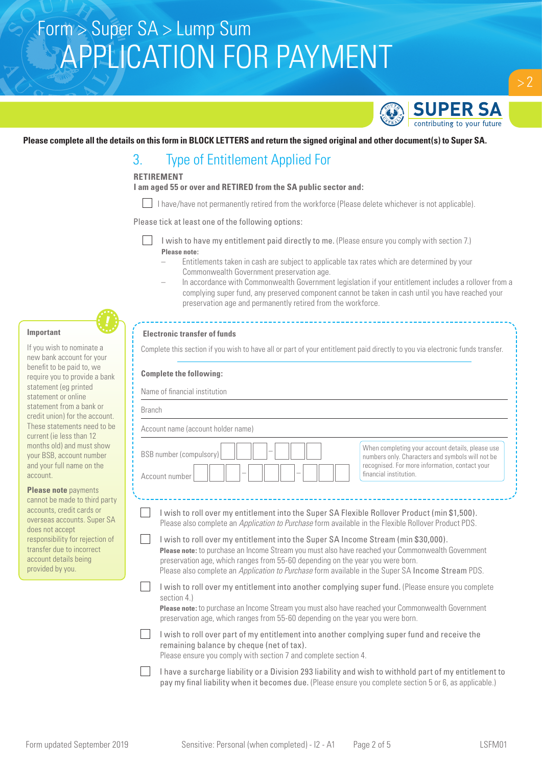

 $> 2$ 

### **Please complete all the details on this form in BLOCK LETTERS and return the signed original and other document(s) to Super SA.**

## 3. Type of Entitlement Applied For

## **RETIREMENT**

**I am aged 55 or over and RETIRED from the SA public sector and:**

I have/have not permanently retired from the workforce (Please delete whichever is not applicable).

Please tick at least one of the following options:

- I wish to have my entitlement paid directly to me. (Please ensure you comply with section 7.) **Please note:**
	- Entitlements taken in cash are subject to applicable tax rates which are determined by your Commonwealth Government preservation age.
	- In accordance with Commonwealth Government legislation if your entitlement includes a rollover from a complying super fund, any preserved component cannot be taken in cash until you have reached your preservation age and permanently retired from the workforce.

### **Important**

If you wish to nominate a new bank account for your benefit to be paid to, we require you to provide a bank statement (eg printed statement or online statement from a bank or credit union) for the account. These statements need to be current (ie less than 12 months old) and must show your BSB, account number and your full name on the account.

**Please note** payments cannot be made to third party accounts, credit cards or overseas accounts. Super SA does not accept responsibility for rejection of transfer due to incorrect account details being provided by you.

### **Electronic transfer of funds**

Complete this section if you wish to have all or part of your entitlement paid directly to you via electronic funds transfer.

#### **Complete the following:**

Name of financial institution

| <u>NAME OF MIT IN A MISSING ON A</u><br><b>Branch</b> |                                                                                                                                                                                                                                                                                                                                                                                |                                                                                                                                                                                  |  |  |  |
|-------------------------------------------------------|--------------------------------------------------------------------------------------------------------------------------------------------------------------------------------------------------------------------------------------------------------------------------------------------------------------------------------------------------------------------------------|----------------------------------------------------------------------------------------------------------------------------------------------------------------------------------|--|--|--|
|                                                       |                                                                                                                                                                                                                                                                                                                                                                                |                                                                                                                                                                                  |  |  |  |
|                                                       | <b>BSB</b> number (compulsory)<br>Account number                                                                                                                                                                                                                                                                                                                               | When completing your account details, please use<br>numbers only. Characters and symbols will not be<br>recognised. For more information, contact your<br>financial institution. |  |  |  |
|                                                       | I wish to roll over my entitlement into the Super SA Flexible Rollover Product (min \$1,500).<br>Please also complete an Application to Purchase form available in the Flexible Rollover Product PDS.                                                                                                                                                                          |                                                                                                                                                                                  |  |  |  |
|                                                       | I wish to roll over my entitlement into the Super SA Income Stream (min \$30,000).<br>Please note: to purchase an Income Stream you must also have reached your Commonwealth Government<br>preservation age, which ranges from 55-60 depending on the year you were born.<br>Please also complete an Application to Purchase form available in the Super SA Income Stream PDS. |                                                                                                                                                                                  |  |  |  |
|                                                       | I wish to roll over my entitlement into another complying super fund. (Please ensure you complete<br>section 4.)<br>Please note: to purchase an Income Stream you must also have reached your Commonwealth Government<br>preservation age, which ranges from 55-60 depending on the year you were born.                                                                        |                                                                                                                                                                                  |  |  |  |
|                                                       | I wish to roll over part of my entitlement into another complying super fund and receive the<br>remaining balance by cheque (net of tax).<br>Please ensure you comply with section 7 and complete section 4.                                                                                                                                                                   |                                                                                                                                                                                  |  |  |  |
|                                                       | I have a surcharge liability or a Division 293 liability and wish to withhold part of my entitlement to<br>pay my final liability when it becomes due. (Please ensure you complete section 5 or 6, as applicable.)                                                                                                                                                             |                                                                                                                                                                                  |  |  |  |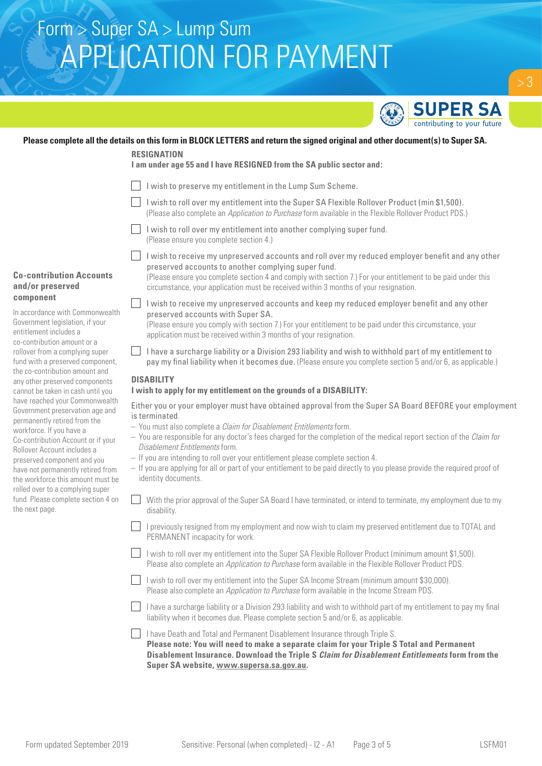

### **Please complete all the details on this form in BLOCK LETTERS and return the signed original and other document(s) to Super SA.**

#### **RESIGNATION**

**I am under age 55 and I have RESIGNED from the SA public sector and:** 

- I I wish to preserve my entitlement in the Lump Sum Scheme.
- I wish to roll over my entitlement into the Super SA Flexible Rollover Product (min \$1,500). (Please also complete an *Application to Purchase* form available in the Flexible Rollover Product PDS.)
- I wish to roll over my entitlement into another complying super fund. (Please ensure you complete section 4.)
- **Co-contribution Accounts and/or preserved component**

In accordance with Commonwealth Government legislation, if your entitlement includes a co-contribution amount or a rollover from a complying super fund with a preserved component, the co-contribution amount and any other preserved components cannot be taken in cash until you have reached your Commonwealth Government preservation age and permanently retired from the workforce. If you have a Co-contribution Account or if your Rollover Account includes a preserved component and you have not permanently retired from the workforce this amount must be rolled over to a complying super fund. Please complete section 4 on the next page.

I wish to receive my unpreserved accounts and roll over my reduced employer benefit and any other preserved accounts to another complying super fund. (Please ensure you complete section 4 and comply with section 7.) For your entitlement to be paid under this

circumstance, your application must be received within 3 months of your resignation.

- I wish to receive my unpreserved accounts and keep my reduced employer benefit and any other preserved accounts with Super SA. (Please ensure you comply with section 7.) For your entitlement to be paid under this circumstance, your application must be received within 3 months of your resignation.
- $\Box$  I have a surcharge liability or a Division 293 liability and wish to withhold part of my entitlement to pay my final liability when it becomes due. (Please ensure you complete section 5 and/or 6, as applicable.)

## **DISABILITY**

### **I wish to apply for my entitlement on the grounds of a DISABILITY:**

Either you or your employer must have obtained approval from the Super SA Board BEFORE your employment is terminated.

- You must also complete a *Claim for Disablement Entitlements* form.
- You are responsible for any doctor's fees charged for the completion of the medical report section of the *Claim for Disablement Entitlements* form.
- If you are intending to roll over your entitlement please complete section 4.
- If you are applying for all or part of your entitlement to be paid directly to you please provide the required proof of identity documents.
- With the prior approval of the Super SA Board I have terminated, or intend to terminate, my employment due to my  $\mathbf{1}$ disability.
- I previously resigned from my employment and now wish to claim my preserved entitlement due to TOTAL and PERMANENT incapacity for work.
- $\vert \vert$  I wish to roll over my entitlement into the Super SA Flexible Rollover Product (minimum amount \$1,500). Please also complete an *Application to Purchase* form available in the Flexible Rollover Product PDS.
- I wish to roll over my entitlement into the Super SA Income Stream (minimum amount \$30,000). Please also complete an *Application to Purchase* form available in the Income Stream PDS.
- I have a surcharge liability or a Division 293 liability and wish to withhold part of my entitlement to pay my final liability when it becomes due. Please complete section 5 and/or 6, as applicable.
- I have Death and Total and Permanent Disablement Insurance through Triple S. **Please note: You will need to make a separate claim for your Triple S Total and Permanent Disablement Insurance. Download the Triple S** *Claim for Disablement Entitlements* **form from the Super SA website, www.supersa.sa.gov.au.**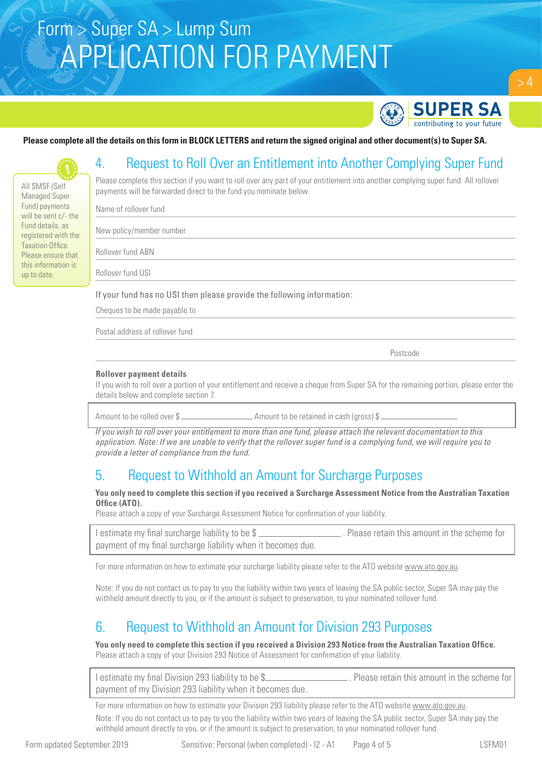

## **Please complete all the details on this form in BLOCK LETTERS and return the signed original and other document(s) to Super SA.**

# 4. Request to Roll Over an Entitlement into Another Complying Super Fund

Please complete this section if you want to roll over any part of your entitlement into another complying super fund. All rollover payments will be forwarded direct to the fund you nominate below.

Name of rollover fund

All SMSF (Self Managed Super Fund) payments will be sent c/- the Fund details, as registered with the Taxation Office. Please ensure that this information is up to date.

New policy/member number

Rollover fund ABN

Rollover fund USI

If your fund has no USI then please provide the following information:

Cheques to be made payable to

Postal address of rollover fund

Postcode in the property of the property of the property of the property of the property of the property of the property of the property of the property of the property of the property of the property of the property of th

#### **Rollover payment details**

If you wish to roll over a portion of your entitlement and receive a cheque from Super SA for the remaining portion, please enter the details below and complete section 7.

Amount to be rolled over \$

*If you wish to roll over your entitlement to more than one fund, please attach the relevant documentation to this application. Note: If we are unable to verify that the rollover super fund is a complying fund, we will require you to provide a letter of compliance from the fund.* 

## 5. Request to Withhold an Amount for Surcharge Purposes

#### **You only need to complete this section if you received a Surcharge Assessment Notice from the Australian Taxation Office (ATO).**

Please attach a copy of your Surcharge Assessment Notice for confirmation of your liability.

| I estimate my final surcharge liability to be \$             | . Please retain this amount in the scheme for |
|--------------------------------------------------------------|-----------------------------------------------|
| payment of my final surcharge liability when it becomes due. |                                               |

For more information on how to estimate your surcharge liability please refer to the ATO website www.ato.gov.au

Note: If you do not contact us to pay to you the liability within two years of leaving the SA public sector, Super SA may pay the withheld amount directly to you, or if the amount is subject to preservation, to your nominated rollover fund.

## 6. Request to Withhold an Amount for Division 293 Purposes

**You only need to complete this section if you received a Division 293 Notice from the Australian Taxation Office.**  Please attach a copy of your Division 293 Notice of Assessment for confirmation of your liability.

| I estimate my final Division 293 liability to be \$       | . Please retain this amount in the scheme for |
|-----------------------------------------------------------|-----------------------------------------------|
| payment of my Division 293 liability when it becomes due. |                                               |

For more information on how to estimate your Division 293 liability please refer to the ATO website www.ato.gov.au. Note: If you do not contact us to pay to you the liability within two years of leaving the SA public sector, Super SA may pay the withheld amount directly to you, or if the amount is subject to preservation, to your nominated rollover fund.